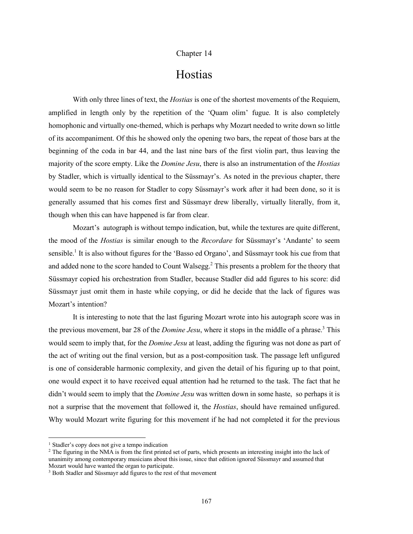## Chapter 14

## Hostias

With only three lines of text, the *Hostias* is one of the shortest movements of the Requiem, amplified in length only by the repetition of the 'Quam olim' fugue. It is also completely homophonic and virtually one-themed, which is perhaps why Mozart needed to write down so little of its accompaniment. Of this he showed only the opening two bars, the repeat of those bars at the beginning of the coda in bar 44, and the last nine bars of the first violin part, thus leaving the majority of the score empty. Like the *Domine Jesu*, there is also an instrumentation of the *Hostias* by Stadler, which is virtually identical to the Süssmayr's. As noted in the previous chapter, there would seem to be no reason for Stadler to copy Süssmayr's work after it had been done, so it is generally assumed that his comes first and Süssmayr drew liberally, virtually literally, from it, though when this can have happened is far from clear.

Mozart's autograph is without tempo indication, but, while the textures are quite different, the mood of the *Hostias* is similar enough to the *Recordare* for Süssmayr's 'Andante' to seem sensible.<sup>1</sup> It is also without figures for the 'Basso ed Organo', and Süssmayr took his cue from that and added none to the score handed to Count Walsegg.<sup>2</sup> This presents a problem for the theory that Süssmayr copied his orchestration from Stadler, because Stadler did add figures to his score: did Süssmayr just omit them in haste while copying, or did he decide that the lack of figures was Mozart's intention?

It is interesting to note that the last figuring Mozart wrote into his autograph score was in the previous movement, bar 28 of the *Domine Jesu*, where it stops in the middle of a phrase. <sup>3</sup> This would seem to imply that, for the *Domine Jesu* at least, adding the figuring was not done as part of the act of writing out the final version, but as a post-composition task. The passage left unfigured is one of considerable harmonic complexity, and given the detail of his figuring up to that point, one would expect it to have received equal attention had he returned to the task. The fact that he didn't would seem to imply that the *Domine Jesu* was written down in some haste, so perhaps it is not a surprise that the movement that followed it, the *Hostias*, should have remained unfigured. Why would Mozart write figuring for this movement if he had not completed it for the previous

 <sup>1</sup> Stadler's copy does not give <sup>a</sup> tempo indication

<sup>&</sup>lt;sup>2</sup> The figuring in the NMA is from the first printed set of parts, which presents an interesting insight into the lack of unanimity among contemporary musicians about this issue, since that edition ignored Süssmayr and assumed that Mozart would have wanted the organ to participate.

<sup>&</sup>lt;sup>3</sup> Both Stadler and Süssmayr add figures to the rest of that movement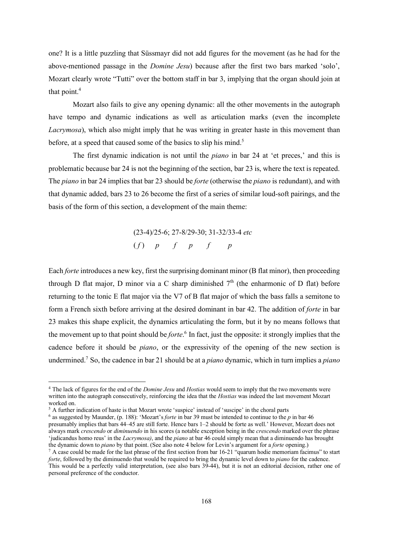one? It is a little puzzling that Süssmayr did not add figures for the movement (as he had for the above-mentioned passage in the *Domine Jesu*) because after the first two bars marked 'solo', Mozart clearly wrote "Tutti" over the bottom staff in bar 3, implying that the organ should join at that point.<sup>4</sup>

Mozart also fails to give any opening dynamic: all the other movements in the autograph have tempo and dynamic indications as well as articulation marks (even the incomplete *Lacrymosa*), which also might imply that he was writing in greater haste in this movement than before, at a speed that caused some of the basics to slip his mind. 5

The first dynamic indication is not until the *piano* in bar 24 at 'et preces,' and this is problematic because bar 24 is not the beginning of the section, bar 23 is, where the text is repeated. The *piano* in bar 24 implies that bar 23 should be *forte* (otherwise the *piano* is redundant), and with that dynamic added, bars 23 to 26 become the first of a series of similar loud-soft pairings, and the basis of the form of this section, a development of the main theme:

> (23-4)/25-6; 27-8/29-30; 31-32/33-4 *etc* ( *f* ) *p f p f p*

Each *forte* introduces a new key, first the surprising dominant minor (B flat minor), then proceeding through D flat major, D minor via a C sharp diminished  $7<sup>th</sup>$  (the enharmonic of D flat) before returning to the tonic E flat major via the V7 of B flat major of which the bass falls a semitone to form a French sixth before arriving at the desired dominant in bar 42. The addition of *forte* in bar 23 makes this shape explicit, the dynamics articulating the form, but it by no means follows that the movement up to that point should be *forte*. <sup>6</sup> In fact, just the opposite: it strongly implies that the cadence before it should be *piano*, or the expressivity of the opening of the new section is undermined.7 So, the cadence in bar 21 should be at a *piano* dynamic, which in turn implies a *piano*

 <sup>4</sup> The lack of figures for the end of the *Domine Jesu* and *Hostias* would seem to imply that the two movements were written into the autograph consecutively, reinforcing the idea that the *Hostias* was indeed the last movement Mozart worked on.

<sup>5</sup> A further indication of haste is that Mozart wrote 'suspice' instead of 'suscipe' in the choral parts

<sup>6</sup> as suggested by Maunder, (p. 188): 'Mozart's *forte* in bar 39 must be intended to continue to the *p* in bar 46 presumably implies that bars 44–45 are still forte. Hence bars 1–2 should be forte as well.' However, Mozart does not always mark *crescendo* or *diminuendo* in his scores (a notable exception being in the *crescendo* marked over the phrase 'judicandus homo reus' in the *Lacrymosa)*, and the *piano* at bar 46 could simply mean that a diminuendo has brought the dynamic down to *piano* by that point. (See also note 4 below for Levin's argument for a *forte* opening.)

 $^7$  A case could be made for the last phrase of the first section from bar 16-21 "quarum hodie memoriam facimus" to start *forte*, followed by the diminuendo that would be required to bring the dynamic level down to *piano* for the cadence. This would be a perfectly valid interpretation, (see also bars 39-44), but it is not an editorial decision, rather one of personal preference of the conductor.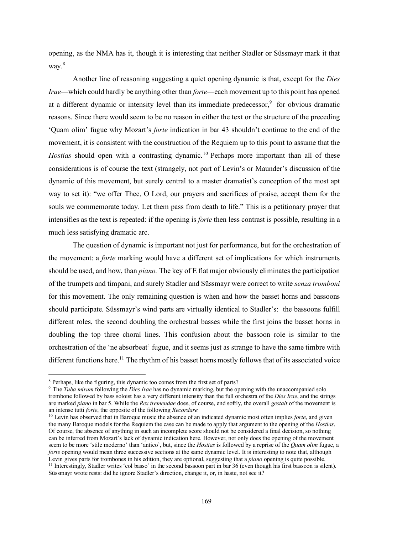opening, as the NMA has it, though it is interesting that neither Stadler or Süssmayr mark it that way. 8

Another line of reasoning suggesting a quiet opening dynamic is that, except for the *Dies Irae*—which could hardly be anything other than *forte*—each movement up to this point has opened at a different dynamic or intensity level than its immediate predecessor,<sup>9</sup> for obvious dramatic reasons. Since there would seem to be no reason in either the text or the structure of the preceding 'Quam olim' fugue why Mozart's *forte* indication in bar 43 shouldn't continue to the end of the movement, it is consistent with the construction of the Requiem up to this point to assume that the *Hostias* should open with a contrasting dynamic.<sup>10</sup> Perhaps more important than all of these considerations is of course the text (strangely, not part of Levin's or Maunder's discussion of the dynamic of this movement, but surely central to a master dramatist's conception of the most apt way to set it): "we offer Thee, O Lord, our prayers and sacrifices of praise, accept them for the souls we commemorate today. Let them pass from death to life." This is a petitionary prayer that intensifies as the text is repeated: if the opening is *forte* then less contrast is possible, resulting in a much less satisfying dramatic arc.

The question of dynamic is important not just for performance, but for the orchestration of the movement: a *forte* marking would have a different set of implications for which instruments should be used, and how, than *piano.* The key of E flat major obviously eliminates the participation of the trumpets and timpani, and surely Stadler and Süssmayr were correct to write *senza tromboni* for this movement. The only remaining question is when and how the basset horns and bassoons should participate. Süssmayr's wind parts are virtually identical to Stadler's: the bassoons fulfill different roles, the second doubling the orchestral basses while the first joins the basset horns in doubling the top three choral lines. This confusion about the bassoon role is similar to the orchestration of the 'ne absorbeat' fugue, and it seems just as strange to have the same timbre with different functions here.<sup>11</sup> The rhythm of his basset horns mostly follows that of its associated voice

 <sup>8</sup> Perhaps, like the figuring, this dynamic too comes from the first set of parts?

<sup>9</sup> The *Tuba mirum* following the *Dies Irae* has no dynamic marking, but the opening with the unaccompanied solo trombone followed by bass soloist has a very different intensity than the full orchestra of the *Dies Irae*, and the strings are marked *piano* in bar 5. While the *Rex tremendae* does, of course, end softly, the overall *gestalt* of the movement is an intense tutti *forte*, the opposite of the following *Recordare*

<sup>&</sup>lt;sup>10</sup> Levin has observed that in Baroque music the absence of an indicated dynamic most often implies *forte*, and given the many Baroque models for the Requiem the case can be made to apply that argument to the opening of the *Hostias*. Of course, the absence of anything in such an incomplete score should not be considered a final decision, so nothing can be inferred from Mozart's lack of dynamic indication here. However, not only does the opening of the movement seem to be more 'stile moderno' than 'antico', but, since the *Hostias* is followed by a reprise of the *Quam olim* fugue, a *forte* opening would mean three successive sections at the same dynamic level. It is interesting to note that, although Levin gives parts for trombones in his edition, they are optional, suggesting that a *piano* opening is quite possible. <sup>11</sup> Interestingly, Stadler writes 'col basso' in the second bassoon part in bar 36 (even though his first bassoon is silent). Süssmayr wrote rests: did he ignore Stadler's direction, change it, or, in haste, not see it?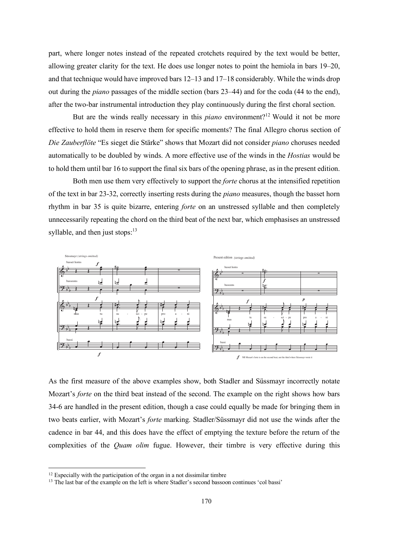part, where longer notes instead of the repeated crotchets required by the text would be better, allowing greater clarity for the text. He does use longer notes to point the hemiola in bars 19–20, and that technique would have improved bars 12–13 and 17–18 considerably. While the winds drop out during the *piano* passages of the middle section (bars 23–44) and for the coda (44 to the end), after the two-bar instrumental introduction they play continuously during the first choral section.

But are the winds really necessary in this *piano* environment?<sup>12</sup> Would it not be more effective to hold them in reserve them for specific moments? The final Allegro chorus section of *Die Zauberflöte* "Es sieget die Stärke" shows that Mozart did not consider *piano* choruses needed automatically to be doubled by winds. A more effective use of the winds in the *Hostias* would be to hold them until bar 16 to support the final six bars of the opening phrase, as in the present edition.

Both men use them very effectively to support the *forte* chorus at the intensified repetition of the text in bar 23-32, correctly inserting rests during the *piano* measures, though the basset horn rhythm in bar 35 is quite bizarre, entering *forte* on an unstressed syllable and then completely unnecessarily repeating the chord on the third beat of the next bar, which emphasises an unstressed syllable, and then just stops:<sup>13</sup>



As the first measure of the above examples show, both Stadler and Süssmayr incorrectly notate Mozart's *forte* on the third beat instead of the second. The example on the right shows how bars 34-6 are handled in the present edition, though a case could equally be made for bringing them in two beats earlier, with Mozart's *forte* marking. Stadler/Süssmayr did not use the winds after the cadence in bar 44, and this does have the effect of emptying the texture before the return of the complexities of the *Quam olim* fugue. However, their timbre is very effective during this

 $12$  Especially with the participation of the organ in a not dissimilar timbre

<sup>&</sup>lt;sup>13</sup> The last bar of the example on the left is where Stadler's second bassoon continues 'col bassi'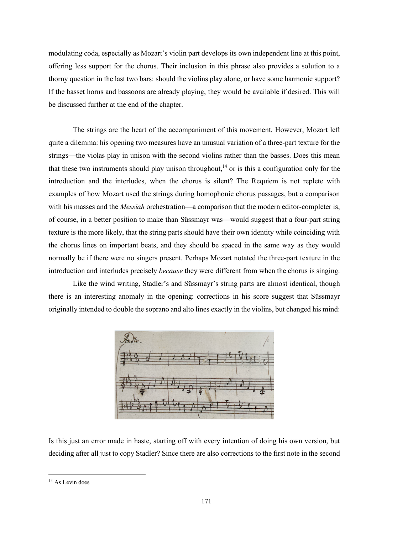modulating coda, especially as Mozart's violin part develops its own independent line at this point, offering less support for the chorus. Their inclusion in this phrase also provides a solution to a thorny question in the last two bars: should the violins play alone, or have some harmonic support? If the basset horns and bassoons are already playing, they would be available if desired. This will be discussed further at the end of the chapter.

The strings are the heart of the accompaniment of this movement. However, Mozart left quite a dilemma: his opening two measures have an unusual variation of a three-part texture for the strings—the violas play in unison with the second violins rather than the basses. Does this mean that these two instruments should play unison throughout,<sup>14</sup> or is this a configuration only for the introduction and the interludes, when the chorus is silent? The Requiem is not replete with examples of how Mozart used the strings during homophonic chorus passages, but a comparison with his masses and the *Messiah* orchestration—a comparison that the modern editor-completer is, of course, in a better position to make than Süssmayr was—would suggest that a four-part string texture is the more likely, that the string parts should have their own identity while coinciding with the chorus lines on important beats, and they should be spaced in the same way as they would normally be if there were no singers present. Perhaps Mozart notated the three-part texture in the introduction and interludes precisely *because* they were different from when the chorus is singing.

Like the wind writing, Stadler's and Süssmayr's string parts are almost identical, though there is an interesting anomaly in the opening: corrections in his score suggest that Süssmayr originally intended to double the soprano and alto lines exactly in the violins, but changed his mind:



Is this just an error made in haste, starting off with every intention of doing his own version, but deciding after all just to copy Stadler? Since there are also corrections to the first note in the second

<sup>&</sup>lt;sup>14</sup> As Levin does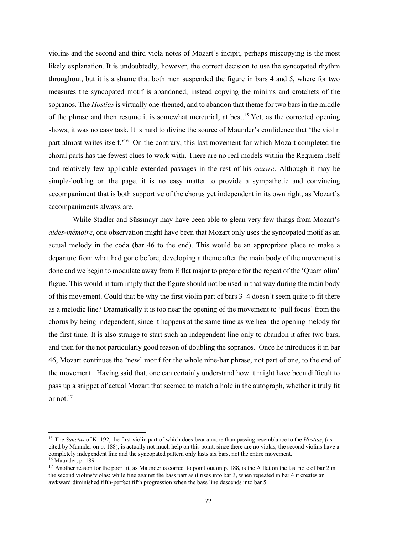violins and the second and third viola notes of Mozart's incipit, perhaps miscopying is the most likely explanation. It is undoubtedly, however, the correct decision to use the syncopated rhythm throughout, but it is a shame that both men suspended the figure in bars 4 and 5, where for two measures the syncopated motif is abandoned, instead copying the minims and crotchets of the sopranos. The *Hostias* is virtually one-themed, and to abandon that theme for two bars in the middle of the phrase and then resume it is somewhat mercurial, at best. <sup>15</sup> Yet, as the corrected opening shows, it was no easy task. It is hard to divine the source of Maunder's confidence that 'the violin part almost writes itself.<sup>'16</sup> On the contrary, this last movement for which Mozart completed the choral parts has the fewest clues to work with. There are no real models within the Requiem itself and relatively few applicable extended passages in the rest of his *oeuvre*. Although it may be simple-looking on the page, it is no easy matter to provide a sympathetic and convincing accompaniment that is both supportive of the chorus yet independent in its own right, as Mozart's accompaniments always are.

While Stadler and Süssmayr may have been able to glean very few things from Mozart's *aides-mémoire*, one observation might have been that Mozart only uses the syncopated motif as an actual melody in the coda (bar 46 to the end). This would be an appropriate place to make a departure from what had gone before, developing a theme after the main body of the movement is done and we begin to modulate away from E flat major to prepare for the repeat of the 'Quam olim' fugue. This would in turn imply that the figure should not be used in that way during the main body of this movement. Could that be why the first violin part of bars 3–4 doesn't seem quite to fit there as a melodic line? Dramatically it is too near the opening of the movement to 'pull focus' from the chorus by being independent, since it happens at the same time as we hear the opening melody for the first time. It is also strange to start such an independent line only to abandon it after two bars, and then for the not particularly good reason of doubling the sopranos. Once he introduces it in bar 46, Mozart continues the 'new' motif for the whole nine-bar phrase, not part of one, to the end of the movement. Having said that, one can certainly understand how it might have been difficult to pass up a snippet of actual Mozart that seemed to match a hole in the autograph, whether it truly fit or not $17$ 

 <sup>15</sup> The *Sanctus* of K. 192, the first violin part of which does bear <sup>a</sup> more than passing resemblance to the *Hostias*, (as cited by Maunder on p. 188), is actually not much help on this point, since there are no violas, the second violins have a completely independent line and the syncopated pattern only lasts six bars, not the entire movement.  $16$  Maunder, p.  $189$ 

<sup>&</sup>lt;sup>17</sup> Another reason for the poor fit, as Maunder is correct to point out on p. 188, is the A flat on the last note of bar 2 in the second violins/violas: while fine against the bass part as it rises into bar 3, when repeated in bar 4 it creates an awkward diminished fifth-perfect fifth progression when the bass line descends into bar 5.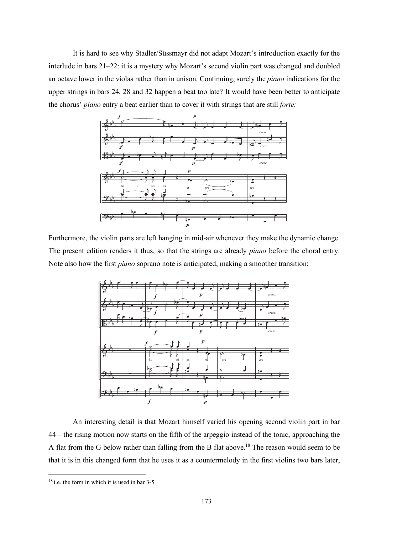It is hard to see why Stadler/Süssmayr did not adapt Mozart's introduction exactly for the interlude in bars 21–22: it is a mystery why Mozart's second violin part was changed and doubled an octave lower in the violas rather than in unison. Continuing, surely the *piano* indications for the upper strings in bars 24, 28 and 32 happen a beat too late? It would have been better to anticipate the chorus' *piano* entry a beat earlier than to cover it with strings that are still *forte:*



Furthermore, the violin parts are left hanging in mid-air whenever they make the dynamic change. The present edition renders it thus, so that the strings are already *piano* before the choral entry. Note also how the first *piano* soprano note is anticipated, making a smoother transition:



An interesting detail is that Mozart himself varied his opening second violin part in bar 44—the rising motion now starts on the fifth of the arpeggio instead of the tonic, approaching the A flat from the G below rather than falling from the B flat above.<sup>18</sup> The reason would seem to be that it is in this changed form that he uses it as a countermelody in the first violins two bars later,

 <sup>18</sup> i.e. the form in which it is used in bar 3-5